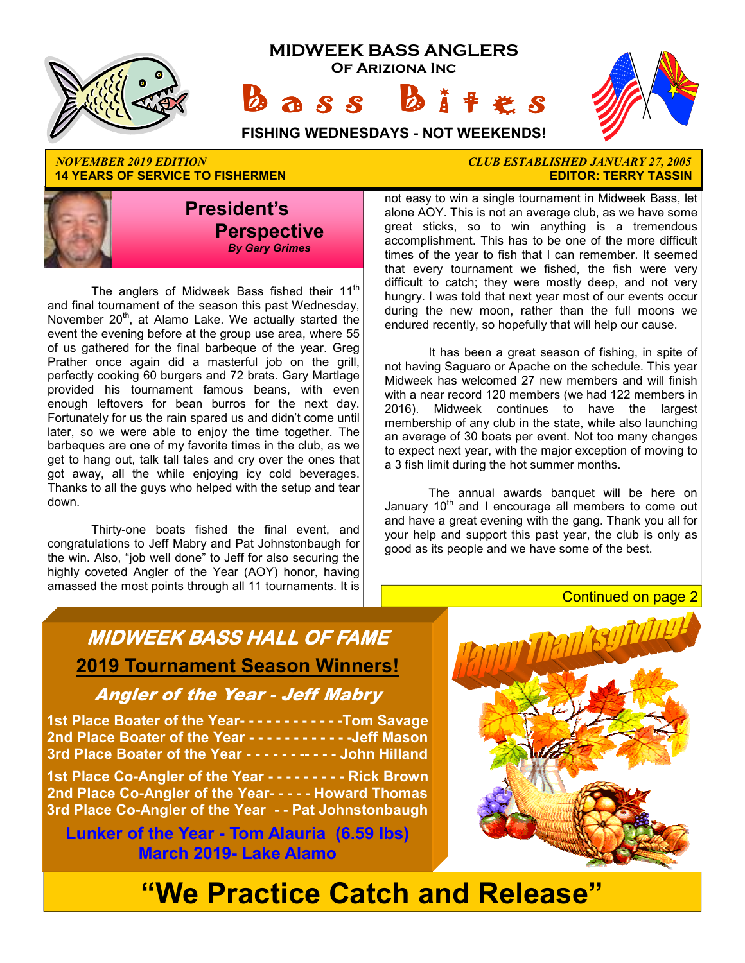

**14 YEARS OF SERVICE TO FISHERMEN** 



The anglers of Midweek Bass fished their  $11<sup>th</sup>$ and final tournament of the season this past Wednesday, November  $20<sup>th</sup>$ , at Alamo Lake. We actually started the event the evening before at the group use area, where 55 of us gathered for the final barbeque of the year. Greg Prather once again did a masterful job on the grill, perfectly cooking 60 burgers and 72 brats. Gary Martlage provided his tournament famous beans, with even enough leftovers for bean burros for the next day. Fortunately for us the rain spared us and didn't come until later, so we were able to enjoy the time together. The barbeques are one of my favorite times in the club, as we get to hang out, talk tall tales and cry over the ones that got away, all the while enjoying icy cold beverages. Thanks to all the guys who helped with the setup and tear down.

 Thirty-one boats fished the final event, and congratulations to Jeff Mabry and Pat Johnstonbaugh for the win. Also, "job well done" to Jeff for also securing the highly coveted Angler of the Year (AOY) honor, having amassed the most points through all 11 tournaments. It is

# *NOVEMBER 2019 EDITION CLUB ESTABLISHED JANUARY 27, 2005*

not easy to win a single tournament in Midweek Bass, let alone AOY. This is not an average club, as we have some great sticks, so to win anything is a tremendous accomplishment. This has to be one of the more difficult times of the year to fish that I can remember. It seemed that every tournament we fished, the fish were very difficult to catch; they were mostly deep, and not very hungry. I was told that next year most of our events occur during the new moon, rather than the full moons we endured recently, so hopefully that will help our cause.

 It has been a great season of fishing, in spite of not having Saguaro or Apache on the schedule. This year Midweek has welcomed 27 new members and will finish with a near record 120 members (we had 122 members in 2016). Midweek continues to have the largest membership of any club in the state, while also launching an average of 30 boats per event. Not too many changes to expect next year, with the major exception of moving to a 3 fish limit during the hot summer months.

 The annual awards banquet will be here on January  $10<sup>th</sup>$  and I encourage all members to come out and have a great evening with the gang. Thank you all for your help and support this past year, the club is only as good as its people and we have some of the best.

#### Continued on page 2

## **MIDWEEK BASS HALL OF FAME 2019 Tournament Season Winners!**

#### Angler of the Year - Jeff Mabry

**1st Place Boater of the Year- - - - - - - - - - - -Tom Savage 2nd Place Boater of the Year - - - - - - - - - - - -Jeff Mason 3rd Place Boater of the Year - - - - - - -- - - - John Hilland** 

**1st Place Co-Angler of the Year - - - - - - - - - Rick Brown 2nd Place Co-Angler of the Year- - - - - Howard Thomas 3rd Place Co-Angler of the Year - - Pat Johnstonbaugh** 

**Lunker of the Year - Tom Alauria (6.59 lbs) March 2019- Lake Alamo** 



# **"We Practice Catch and Release"**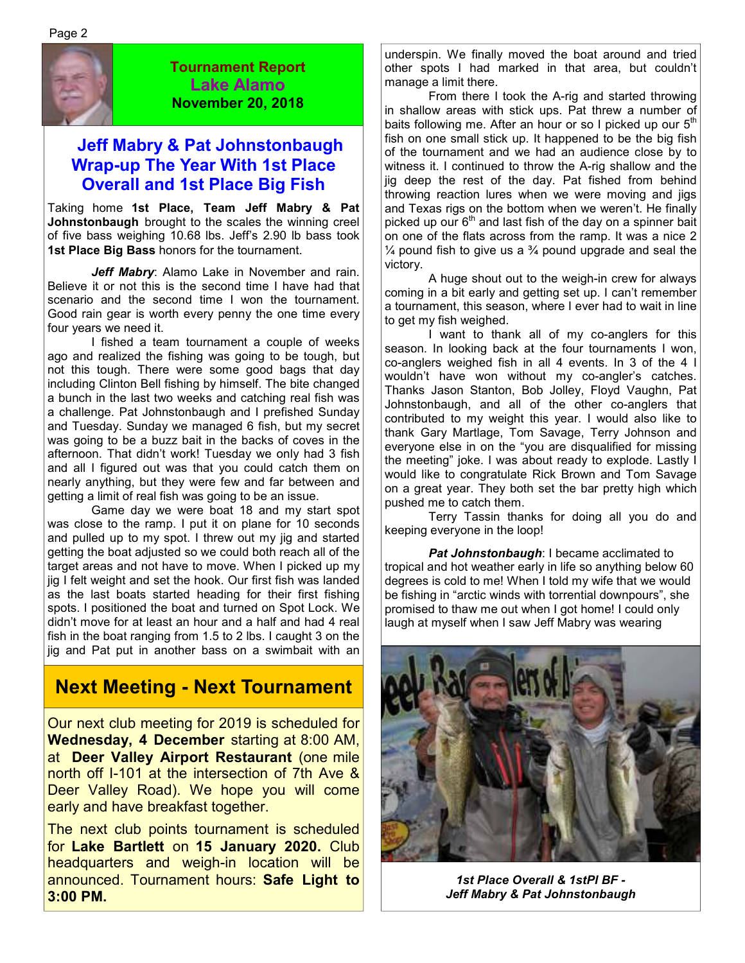

**Tournament Report Lake Alamo November 20, 2018**

### **Jeff Mabry & Pat Johnstonbaugh Wrap-up The Year With 1st Place Overall and 1st Place Big Fish**

Taking home **1st Place, Team Jeff Mabry & Pat Johnstonbaugh** brought to the scales the winning creel of five bass weighing 10.68 lbs. Jeff's 2.90 lb bass took **1st Place Big Bass** honors for the tournament.

*Jeff Mabry*: Alamo Lake in November and rain. Believe it or not this is the second time I have had that scenario and the second time I won the tournament. Good rain gear is worth every penny the one time every four years we need it.

 I fished a team tournament a couple of weeks ago and realized the fishing was going to be tough, but not this tough. There were some good bags that day including Clinton Bell fishing by himself. The bite changed a bunch in the last two weeks and catching real fish was a challenge. Pat Johnstonbaugh and I prefished Sunday and Tuesday. Sunday we managed 6 fish, but my secret was going to be a buzz bait in the backs of coves in the afternoon. That didn't work! Tuesday we only had 3 fish and all I figured out was that you could catch them on nearly anything, but they were few and far between and getting a limit of real fish was going to be an issue.

 Game day we were boat 18 and my start spot was close to the ramp. I put it on plane for 10 seconds and pulled up to my spot. I threw out my jig and started getting the boat adjusted so we could both reach all of the target areas and not have to move. When I picked up my jig I felt weight and set the hook. Our first fish was landed as the last boats started heading for their first fishing spots. I positioned the boat and turned on Spot Lock. We didn't move for at least an hour and a half and had 4 real fish in the boat ranging from 1.5 to 2 lbs. I caught 3 on the jig and Pat put in another bass on a swimbait with an

## **Next Meeting - Next Tournament**

Our next club meeting for 2019 is scheduled for **Wednesday, 4 December** starting at 8:00 AM, at **Deer Valley Airport Restaurant** (one mile north off I-101 at the intersection of 7th Ave & Deer Valley Road). We hope you will come early and have breakfast together.

The next club points tournament is scheduled for **Lake Bartlett** on **15 January 2020.** Club headquarters and weigh-in location will be announced. Tournament hours: **Safe Light to 3:00 PM.**

underspin. We finally moved the boat around and tried other spots I had marked in that area, but couldn't manage a limit there.

 From there I took the A-rig and started throwing in shallow areas with stick ups. Pat threw a number of baits following me. After an hour or so I picked up our  $5<sup>th</sup>$ fish on one small stick up. It happened to be the big fish of the tournament and we had an audience close by to witness it. I continued to throw the A-rig shallow and the jig deep the rest of the day. Pat fished from behind throwing reaction lures when we were moving and jigs and Texas rigs on the bottom when we weren't. He finally picked up our  $6<sup>th</sup>$  and last fish of the day on a spinner bait on one of the flats across from the ramp. It was a nice 2  $\frac{1}{4}$  pound fish to give us a  $\frac{3}{4}$  pound upgrade and seal the victory.

 A huge shout out to the weigh-in crew for always coming in a bit early and getting set up. I can't remember a tournament, this season, where I ever had to wait in line to get my fish weighed.

 I want to thank all of my co-anglers for this season. In looking back at the four tournaments I won, co-anglers weighed fish in all 4 events. In 3 of the 4 I wouldn't have won without my co-angler's catches. Thanks Jason Stanton, Bob Jolley, Floyd Vaughn, Pat Johnstonbaugh, and all of the other co-anglers that contributed to my weight this year. I would also like to thank Gary Martlage, Tom Savage, Terry Johnson and everyone else in on the "you are disqualified for missing the meeting" joke. I was about ready to explode. Lastly I would like to congratulate Rick Brown and Tom Savage on a great year. They both set the bar pretty high which pushed me to catch them.

 Terry Tassin thanks for doing all you do and keeping everyone in the loop!

*Pat Johnstonbaugh*: I became acclimated to tropical and hot weather early in life so anything below 60 degrees is cold to me! When I told my wife that we would be fishing in "arctic winds with torrential downpours", she promised to thaw me out when I got home! I could only laugh at myself when I saw Jeff Mabry was wearing



*1st Place Overall & 1stPl BF - Jeff Mabry & Pat Johnstonbaugh*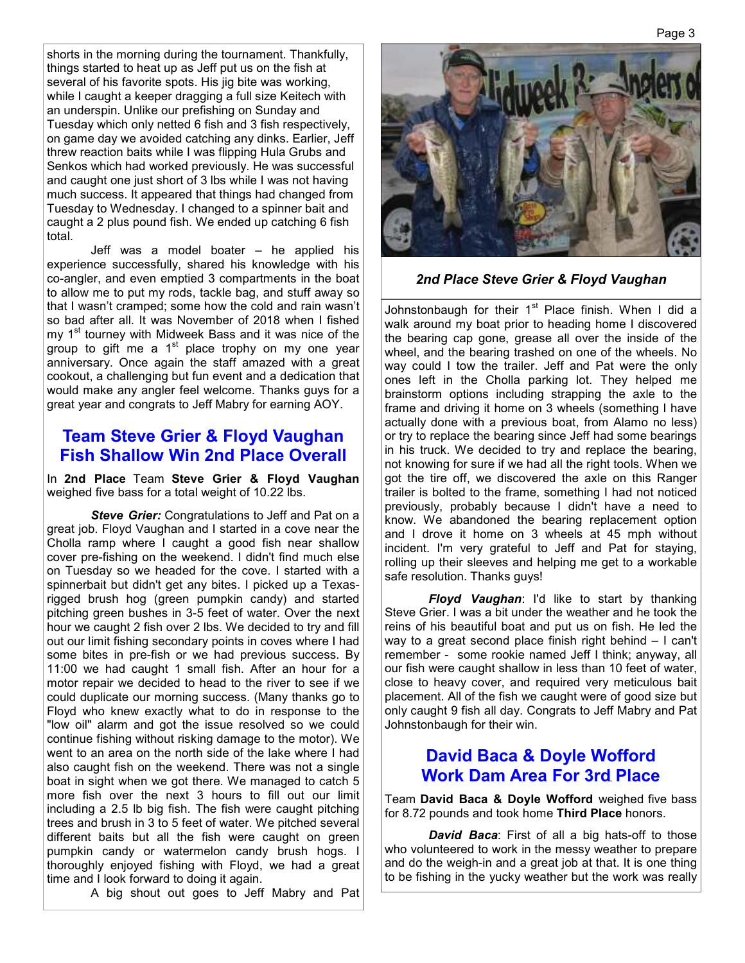shorts in the morning during the tournament. Thankfully, things started to heat up as Jeff put us on the fish at several of his favorite spots. His jig bite was working, while I caught a keeper dragging a full size Keitech with an underspin. Unlike our prefishing on Sunday and Tuesday which only netted 6 fish and 3 fish respectively, on game day we avoided catching any dinks. Earlier, Jeff threw reaction baits while I was flipping Hula Grubs and Senkos which had worked previously. He was successful and caught one just short of 3 lbs while I was not having much success. It appeared that things had changed from Tuesday to Wednesday. I changed to a spinner bait and caught a 2 plus pound fish. We ended up catching 6 fish total.

 Jeff was a model boater – he applied his experience successfully, shared his knowledge with his co-angler, and even emptied 3 compartments in the boat to allow me to put my rods, tackle bag, and stuff away so that I wasn't cramped; some how the cold and rain wasn't so bad after all. It was November of 2018 when I fished my 1<sup>st</sup> tourney with Midweek Bass and it was nice of the group to gift me a  $1<sup>st</sup>$  place trophy on my one year anniversary. Once again the staff amazed with a great cookout, a challenging but fun event and a dedication that would make any angler feel welcome. Thanks guys for a great year and congrats to Jeff Mabry for earning AOY.

#### **Team Steve Grier & Floyd Vaughan Fish Shallow Win 2nd Place Overall**

In **2nd Place** Team **Steve Grier & Floyd Vaughan** weighed five bass for a total weight of 10.22 lbs.

*Steve Grier:* Congratulations to Jeff and Pat on a great job. Floyd Vaughan and I started in a cove near the Cholla ramp where I caught a good fish near shallow cover pre-fishing on the weekend. I didn't find much else on Tuesday so we headed for the cove. I started with a spinnerbait but didn't get any bites. I picked up a Texasrigged brush hog (green pumpkin candy) and started pitching green bushes in 3-5 feet of water. Over the next hour we caught 2 fish over 2 lbs. We decided to try and fill out our limit fishing secondary points in coves where I had some bites in pre-fish or we had previous success. By 11:00 we had caught 1 small fish. After an hour for a motor repair we decided to head to the river to see if we could duplicate our morning success. (Many thanks go to Floyd who knew exactly what to do in response to the "low oil" alarm and got the issue resolved so we could continue fishing without risking damage to the motor). We went to an area on the north side of the lake where I had also caught fish on the weekend. There was not a single boat in sight when we got there. We managed to catch 5 more fish over the next 3 hours to fill out our limit including a 2.5 lb big fish. The fish were caught pitching trees and brush in 3 to 5 feet of water. We pitched several different baits but all the fish were caught on green pumpkin candy or watermelon candy brush hogs. I thoroughly enjoyed fishing with Floyd, we had a great time and I look forward to doing it again.

A big shout out goes to Jeff Mabry and Pat



*2nd Place Steve Grier & Floyd Vaughan*

Johnstonbaugh for their  $1<sup>st</sup>$  Place finish. When I did a walk around my boat prior to heading home I discovered the bearing cap gone, grease all over the inside of the wheel, and the bearing trashed on one of the wheels. No way could I tow the trailer. Jeff and Pat were the only ones left in the Cholla parking lot. They helped me brainstorm options including strapping the axle to the frame and driving it home on 3 wheels (something I have actually done with a previous boat, from Alamo no less) or try to replace the bearing since Jeff had some bearings in his truck. We decided to try and replace the bearing, not knowing for sure if we had all the right tools. When we got the tire off, we discovered the axle on this Ranger trailer is bolted to the frame, something I had not noticed previously, probably because I didn't have a need to know. We abandoned the bearing replacement option and I drove it home on 3 wheels at 45 mph without incident. I'm very grateful to Jeff and Pat for staying, rolling up their sleeves and helping me get to a workable safe resolution. Thanks guys!

*Floyd Vaughan*: I'd like to start by thanking Steve Grier. I was a bit under the weather and he took the reins of his beautiful boat and put us on fish. He led the way to a great second place finish right behind – I can't remember - some rookie named Jeff I think; anyway, all our fish were caught shallow in less than 10 feet of water, close to heavy cover, and required very meticulous bait placement. All of the fish we caught were of good size but only caught 9 fish all day. Congrats to Jeff Mabry and Pat Johnstonbaugh for their win.

#### **David Baca & Doyle Wofford Work Dam Area For 3rd Place**

Team **David Baca & Doyle Wofford** weighed five bass for 8.72 pounds and took home **Third Place** honors.

 *David Baca*: First of all a big hats-off to those who volunteered to work in the messy weather to prepare and do the weigh-in and a great job at that. It is one thing to be fishing in the yucky weather but the work was really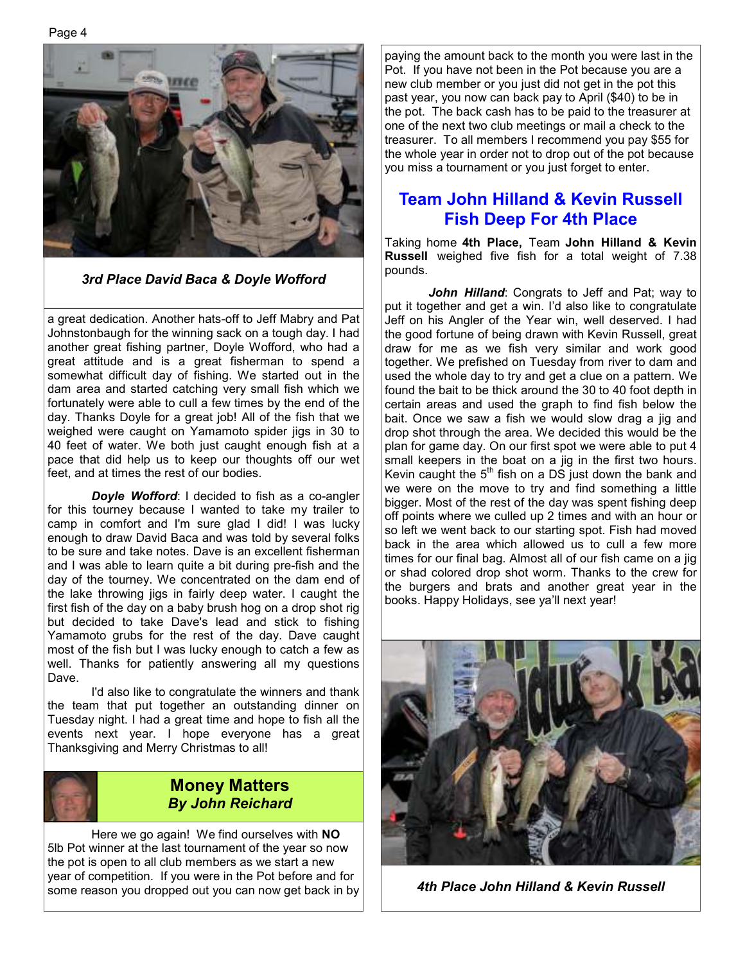Page 4



*3rd Place David Baca & Doyle Wofford*

a great dedication. Another hats-off to Jeff Mabry and Pat Johnstonbaugh for the winning sack on a tough day. I had another great fishing partner, Doyle Wofford, who had a great attitude and is a great fisherman to spend a somewhat difficult day of fishing. We started out in the dam area and started catching very small fish which we fortunately were able to cull a few times by the end of the day. Thanks Doyle for a great job! All of the fish that we weighed were caught on Yamamoto spider jigs in 30 to 40 feet of water. We both just caught enough fish at a pace that did help us to keep our thoughts off our wet feet, and at times the rest of our bodies.

 *Doyle Wofford*: I decided to fish as a co-angler for this tourney because I wanted to take my trailer to camp in comfort and I'm sure glad I did! I was lucky enough to draw David Baca and was told by several folks to be sure and take notes. Dave is an excellent fisherman and I was able to learn quite a bit during pre-fish and the day of the tourney. We concentrated on the dam end of the lake throwing jigs in fairly deep water. I caught the first fish of the day on a baby brush hog on a drop shot rig but decided to take Dave's lead and stick to fishing Yamamoto grubs for the rest of the day. Dave caught most of the fish but I was lucky enough to catch a few as well. Thanks for patiently answering all my questions Dave.

 I'd also like to congratulate the winners and thank the team that put together an outstanding dinner on Tuesday night. I had a great time and hope to fish all the events next year. I hope everyone has a great Thanksgiving and Merry Christmas to all!



#### **Money Matters**  *By John Reichard*

 Here we go again! We find ourselves with **NO** 5lb Pot winner at the last tournament of the year so now the pot is open to all club members as we start a new year of competition. If you were in the Pot before and for some reason you dropped out you can now get back in by paying the amount back to the month you were last in the Pot. If you have not been in the Pot because you are a new club member or you just did not get in the pot this past year, you now can back pay to April (\$40) to be in the pot. The back cash has to be paid to the treasurer at one of the next two club meetings or mail a check to the treasurer. To all members I recommend you pay \$55 for the whole year in order not to drop out of the pot because you miss a tournament or you just forget to enter.

#### **Team John Hilland & Kevin Russell Fish Deep For 4th Place**

Taking home **4th Place,** Team **John Hilland & Kevin Russell** weighed five fish for a total weight of 7.38 pounds.

 *John Hilland*: Congrats to Jeff and Pat; way to put it together and get a win. I'd also like to congratulate Jeff on his Angler of the Year win, well deserved. I had the good fortune of being drawn with Kevin Russell, great draw for me as we fish very similar and work good together. We prefished on Tuesday from river to dam and used the whole day to try and get a clue on a pattern. We found the bait to be thick around the 30 to 40 foot depth in certain areas and used the graph to find fish below the bait. Once we saw a fish we would slow drag a jig and drop shot through the area. We decided this would be the plan for game day. On our first spot we were able to put 4 small keepers in the boat on a jig in the first two hours. Kevin caught the  $5<sup>th</sup>$  fish on a DS just down the bank and we were on the move to try and find something a little bigger. Most of the rest of the day was spent fishing deep off points where we culled up 2 times and with an hour or so left we went back to our starting spot. Fish had moved back in the area which allowed us to cull a few more times for our final bag. Almost all of our fish came on a jig or shad colored drop shot worm. Thanks to the crew for the burgers and brats and another great year in the books. Happy Holidays, see ya'll next year!



*4th Place John Hilland & Kevin Russell*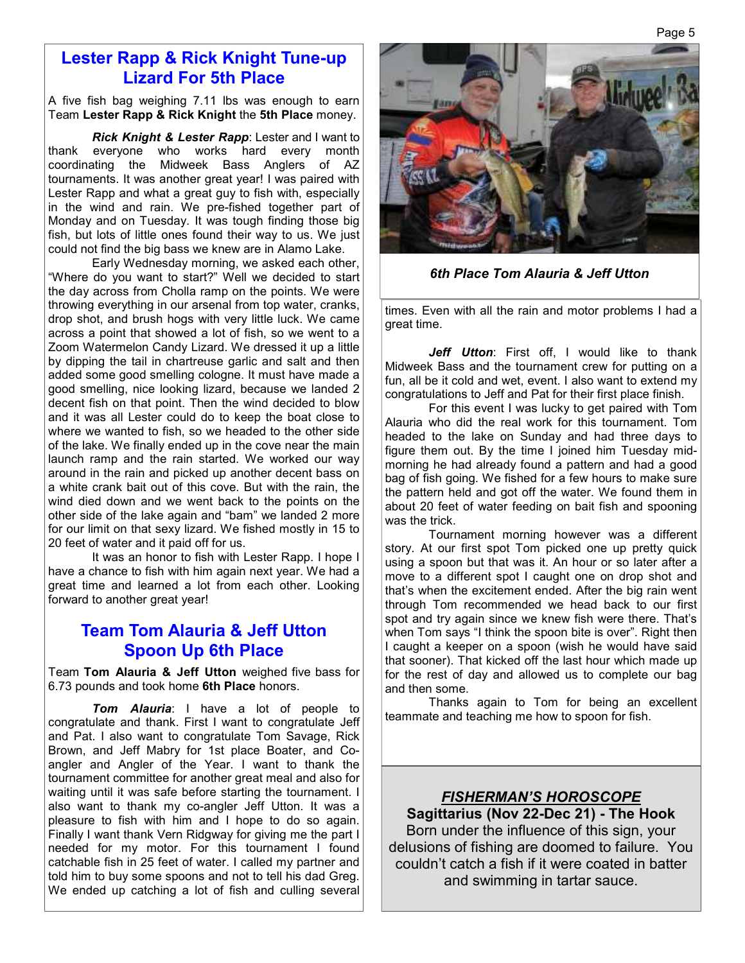#### **Lester Rapp & Rick Knight Tune-up Lizard For 5th Place**

A five fish bag weighing 7.11 lbs was enough to earn Team **Lester Rapp & Rick Knight** the **5th Place** money.

 *Rick Knight & Lester Rapp*: Lester and I want to thank everyone who works hard every month coordinating the Midweek Bass Anglers of AZ tournaments. It was another great year! I was paired with Lester Rapp and what a great guy to fish with, especially in the wind and rain. We pre-fished together part of Monday and on Tuesday. It was tough finding those big fish, but lots of little ones found their way to us. We just could not find the big bass we knew are in Alamo Lake.

 Early Wednesday morning, we asked each other, "Where do you want to start?" Well we decided to start the day across from Cholla ramp on the points. We were throwing everything in our arsenal from top water, cranks, drop shot, and brush hogs with very little luck. We came across a point that showed a lot of fish, so we went to a Zoom Watermelon Candy Lizard. We dressed it up a little by dipping the tail in chartreuse garlic and salt and then added some good smelling cologne. It must have made a good smelling, nice looking lizard, because we landed 2 decent fish on that point. Then the wind decided to blow and it was all Lester could do to keep the boat close to where we wanted to fish, so we headed to the other side of the lake. We finally ended up in the cove near the main launch ramp and the rain started. We worked our way around in the rain and picked up another decent bass on a white crank bait out of this cove. But with the rain, the wind died down and we went back to the points on the other side of the lake again and "bam" we landed 2 more for our limit on that sexy lizard. We fished mostly in 15 to 20 feet of water and it paid off for us.

 It was an honor to fish with Lester Rapp. I hope I have a chance to fish with him again next year. We had a great time and learned a lot from each other. Looking forward to another great year!

#### **Team Tom Alauria & Jeff Utton Spoon Up 6th Place**

Team **Tom Alauria & Jeff Utton** weighed five bass for 6.73 pounds and took home **6th Place** honors.

 *Tom Alauria*: I have a lot of people to congratulate and thank. First I want to congratulate Jeff and Pat. I also want to congratulate Tom Savage, Rick Brown, and Jeff Mabry for 1st place Boater, and Coangler and Angler of the Year. I want to thank the tournament committee for another great meal and also for waiting until it was safe before starting the tournament. I also want to thank my co-angler Jeff Utton. It was a pleasure to fish with him and I hope to do so again. Finally I want thank Vern Ridgway for giving me the part I needed for my motor. For this tournament I found catchable fish in 25 feet of water. I called my partner and told him to buy some spoons and not to tell his dad Greg. We ended up catching a lot of fish and culling several



*6th Place Tom Alauria & Jeff Utton* 

times. Even with all the rain and motor problems I had a great time.

 *Jeff Utton*: First off, I would like to thank Midweek Bass and the tournament crew for putting on a fun, all be it cold and wet, event. I also want to extend my congratulations to Jeff and Pat for their first place finish.

 For this event I was lucky to get paired with Tom Alauria who did the real work for this tournament. Tom headed to the lake on Sunday and had three days to figure them out. By the time I joined him Tuesday midmorning he had already found a pattern and had a good bag of fish going. We fished for a few hours to make sure the pattern held and got off the water. We found them in about 20 feet of water feeding on bait fish and spooning was the trick.

 Tournament morning however was a different story. At our first spot Tom picked one up pretty quick using a spoon but that was it. An hour or so later after a move to a different spot I caught one on drop shot and that's when the excitement ended. After the big rain went through Tom recommended we head back to our first spot and try again since we knew fish were there. That's when Tom says "I think the spoon bite is over". Right then I caught a keeper on a spoon (wish he would have said that sooner). That kicked off the last hour which made up for the rest of day and allowed us to complete our bag and then some.

 Thanks again to Tom for being an excellent teammate and teaching me how to spoon for fish.

*FISHERMAN'S HOROSCOPE* **Sagittarius (Nov 22-Dec 21) - The Hook**  Born under the influence of this sign, your delusions of fishing are doomed to failure. You couldn't catch a fish if it were coated in batter and swimming in tartar sauce.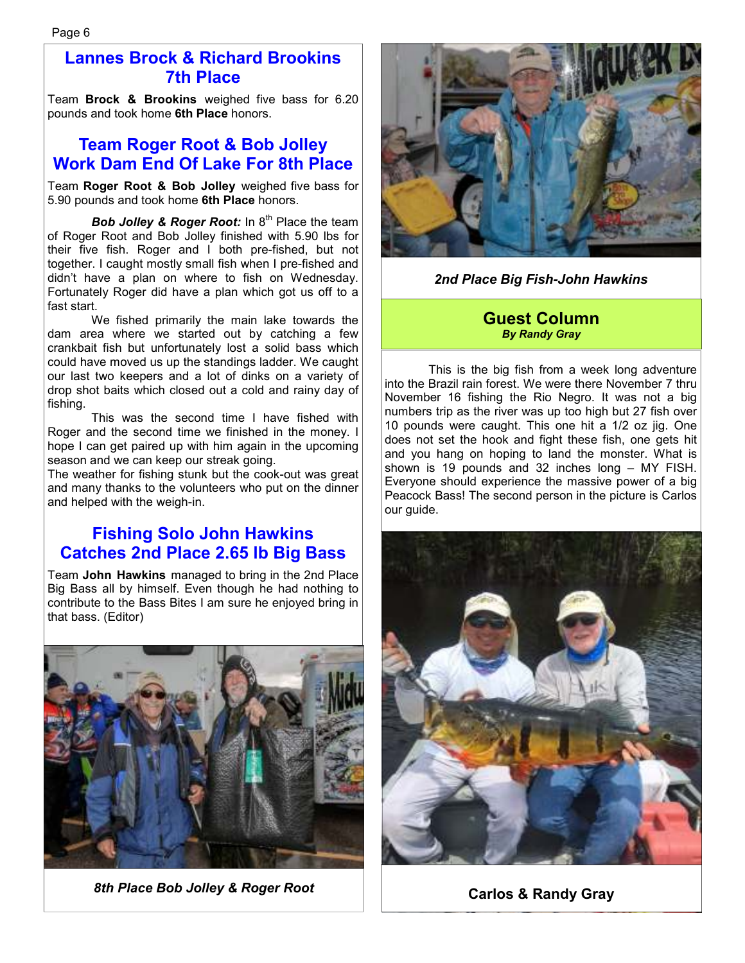#### **Lannes Brock & Richard Brookins 7th Place**

Team **Brock & Brookins** weighed five bass for 6.20 pounds and took home **6th Place** honors.

#### **Team Roger Root & Bob Jolley Work Dam End Of Lake For 8th Place**

Team **Roger Root & Bob Jolley** weighed five bass for 5.90 pounds and took home **6th Place** honors.

**Bob Jolley & Roger Root:** In 8<sup>th</sup> Place the team of Roger Root and Bob Jolley finished with 5.90 lbs for their five fish. Roger and I both pre-fished, but not together. I caught mostly small fish when I pre-fished and didn't have a plan on where to fish on Wednesday. Fortunately Roger did have a plan which got us off to a fast start.

 We fished primarily the main lake towards the dam area where we started out by catching a few crankbait fish but unfortunately lost a solid bass which could have moved us up the standings ladder. We caught our last two keepers and a lot of dinks on a variety of drop shot baits which closed out a cold and rainy day of fishing.

 This was the second time I have fished with Roger and the second time we finished in the money. I hope I can get paired up with him again in the upcoming season and we can keep our streak going.

The weather for fishing stunk but the cook-out was great and many thanks to the volunteers who put on the dinner and helped with the weigh-in.

#### **Fishing Solo John Hawkins Catches 2nd Place 2.65 lb Big Bass**

Team **John Hawkins** managed to bring in the 2nd Place Big Bass all by himself. Even though he had nothing to contribute to the Bass Bites I am sure he enjoyed bring in that bass. (Editor)



*8th Place Bob Jolley & Roger Root* 



*2nd Place Big Fish-John Hawkins* 

#### **Guest Column**  *By Randy Gray*

 This is the big fish from a week long adventure into the Brazil rain forest. We were there November 7 thru November 16 fishing the Rio Negro. It was not a big numbers trip as the river was up too high but 27 fish over 10 pounds were caught. This one hit a 1/2 oz jig. One does not set the hook and fight these fish, one gets hit and you hang on hoping to land the monster. What is shown is 19 pounds and 32 inches long – MY FISH. Everyone should experience the massive power of a big Peacock Bass! The second person in the picture is Carlos our guide.



**Carlos & Randy Gray**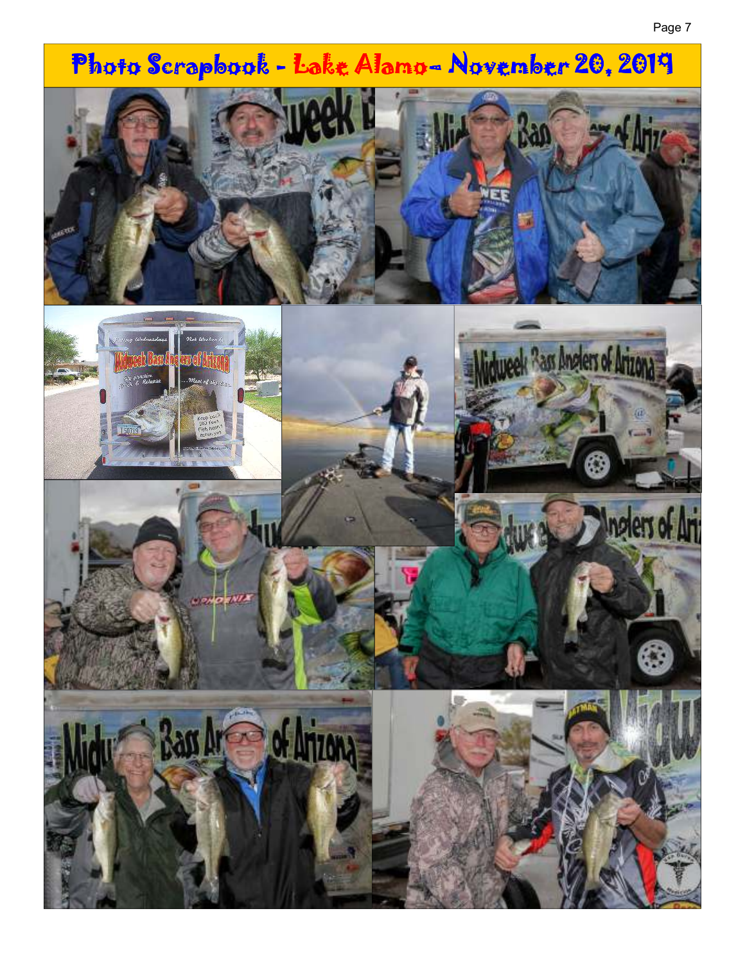